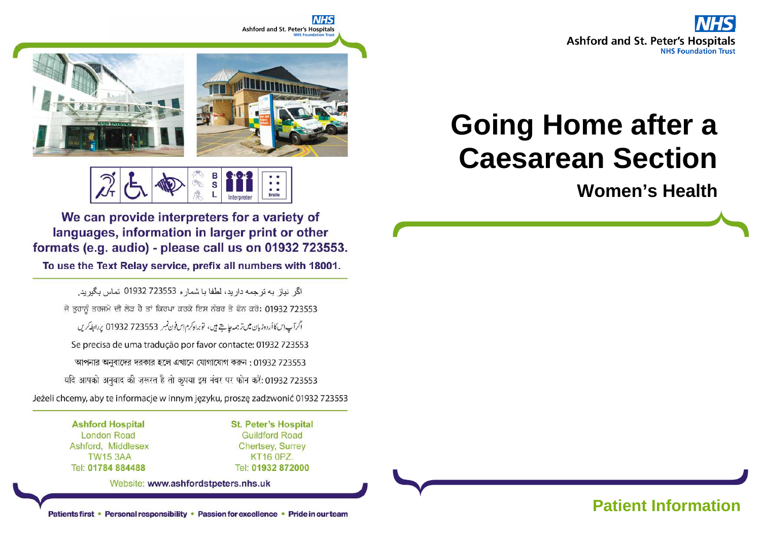



В s **Braille** 

We can provide interpreters for a variety of languages, information in larger print or other formats (e.g. audio) - please call us on 01932 723553.

To use the Text Relay service, prefix all numbers with 18001.

اگر نياز به ترجمه داريد، لطفا يا شمار ه 723553 01932 تماس بگيريد. ਜੇ ਤੁਹਾਨੂੰ ਤਰਜਮੇ ਦੀ ਲੋੜ ਹੈ ਤਾਂ ਕਿਰਪਾ ਕਰਕੇ ਇਸ ਨੰਬਰ ਤੇ ਫੋਨ ਕਰੋ: 01932 723553 اگرآپ این کا أردوزبان میں ترجمہ چاہتے ہیں، توبراہ کرم ایں فون نمبر 723553 01932 پر ابطہ کریں Se precisa de uma tradução por favor contacte: 01932 723553 আপনার অনুবাদের দরকার হলে এখানে যোগাযোগ করুন: 01932 723553 यदि आपको अनुवाद की ज़रूरत है तो कृपया इस नंबर पर फोन करें: 01932 723553 Jeżeli chcemy, aby te informacje w innym języku, proszę zadzwonić 01932 723553

> **Ashford Hospital London Road** Ashford, Middlesex **TW15 3AA** Tel: 01784 884488

**St. Peter's Hospital Guildford Road Chertsey, Surrey KT16 0PZ.** Tel: 01932 872000

Website: www.ashfordstpeters.nhs.uk

# **Going Home after a Caesarean Section**

**Women's Health**

Patients first • Personal responsibility • Passion for excellence • Pride in our team **Patient Information**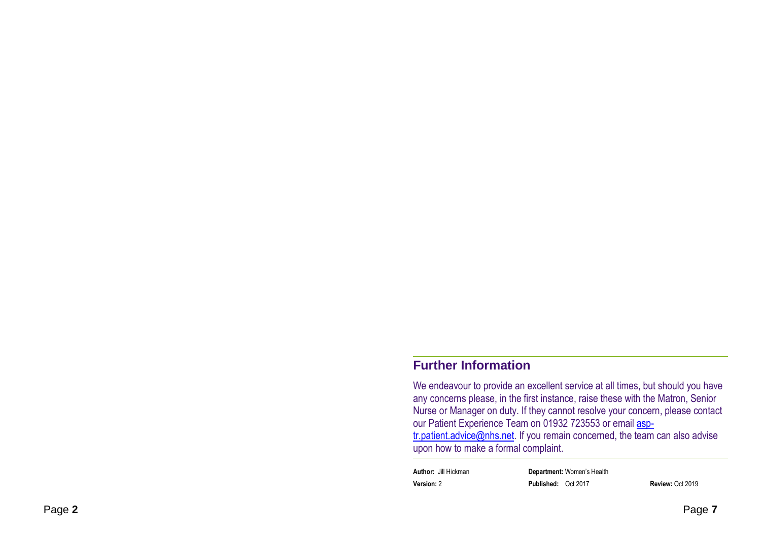#### **Further Information**

We endeavour to provide an excellent service at all times, but should you have any concerns please, in the first instance, raise these with the Matron, Senior Nurse or Manager on duty. If they cannot resolve your concern, please contact our Patient Experience Team on 01932 723553 or email asptr.patient.advice@nhs.net</u>. If you remain concerned, the team can also advise upon how to make a formal complaint.

**Author:** Jill Hickman **Department:** Women's Health**Version:** 2 **Published:** Oct 2017 **Review:** Oct 2019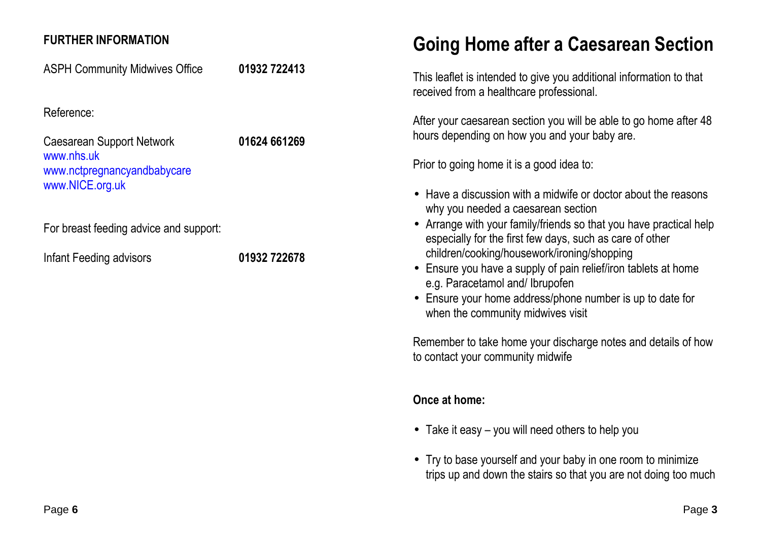#### **FURTHER INFORMATION**

ASPH Community Midwives Office **01932 722413**

Reference:

Caesarean Support Network **01624 661269**www.nhs.uk www.nctpregnancyandbabycare www.NICE.org.uk

For breast feeding advice and support:

Infant Feeding advisors **01932 722678**

## **Going Home after a Caesarean Section**

This leaflet is intended to give you additional information to that received from a healthcare professional.

After your caesarean section you will be able to go home after 48 hours depending on how you and your baby are.

Prior to going home it is a good idea to:

- Have a discussion with a midwife or doctor about the reasons why you needed a caesarean section
- Arrange with your family/friends so that you have practical help especially for the first few days, such as care of other children/cooking/housework/ironing/shopping
- Ensure you have a supply of pain relief/iron tablets at home e.g. Paracetamol and/ Ibrupofen
- Ensure your home address/phone number is up to date for when the community midwives visit

Remember to take home your discharge notes and details of how to contact your community midwife

### **Once at home:**

- Take it easy you will need others to help you
- Try to base yourself and your baby in one room to minimize trips up and down the stairs so that you are not doing too much